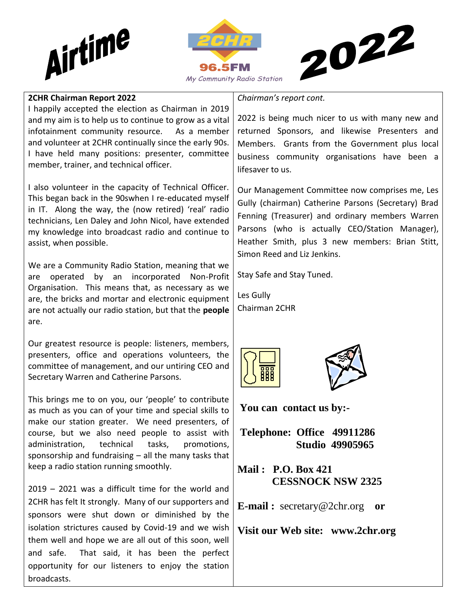





#### **2CHR Chairman Report 2022**

I happily accepted the election as Chairman in 2019 and my aim is to help us to continue to grow as a vital infotainment community resource. As a member and volunteer at 2CHR continually since the early 90s. I have held many positions: presenter, committee member, trainer, and technical officer.

I also volunteer in the capacity of Technical Officer. This began back in the 90swhen I re-educated myself in IT. Along the way, the (now retired) 'real' radio technicians, Len Daley and John Nicol, have extended my knowledge into broadcast radio and continue to assist, when possible.

We are a Community Radio Station, meaning that we are operated by an incorporated Non-Profit Organisation. This means that, as necessary as we are, the bricks and mortar and electronic equipment are not actually our radio station, but that the **people** are.

Our greatest resource is people: listeners, members, presenters, office and operations volunteers, the committee of management, and our untiring CEO and Secretary Warren and Catherine Parsons.

This brings me to on you, our 'people' to contribute as much as you can of your time and special skills to make our station greater. We need presenters, of course, but we also need people to assist with administration, technical tasks, promotions, sponsorship and fundraising – all the many tasks that keep a radio station running smoothly.

2019 – 2021 was a difficult time for the world and 2CHR has felt It strongly. Many of our supporters and sponsors were shut down or diminished by the isolation strictures caused by Covid-19 and we wish them well and hope we are all out of this soon, well and safe. That said, it has been the perfect opportunity for our listeners to enjoy the station broadcasts.

*Chairman's report cont.*

2022 is being much nicer to us with many new and returned Sponsors, and likewise Presenters and Members. Grants from the Government plus local business community organisations have been a lifesaver to us.

Our Management Committee now comprises me, Les Gully (chairman) Catherine Parsons (Secretary) Brad Fenning (Treasurer) and ordinary members Warren Parsons (who is actually CEO/Station Manager), Heather Smith, plus 3 new members: Brian Stitt, Simon Reed and Liz Jenkins.

Stay Safe and Stay Tuned.

Les Gully Chairman 2CHR





**You can contact us by:-**

**Telephone: Office 49911286 Studio 49905965**

**Mail : P.O. Box 421 CESSNOCK NSW 2325**

**E-mail :** [secretary@2chr.org](mailto:secretary@2chr.org) **or** 

**Visit our Web site: www.2chr.org**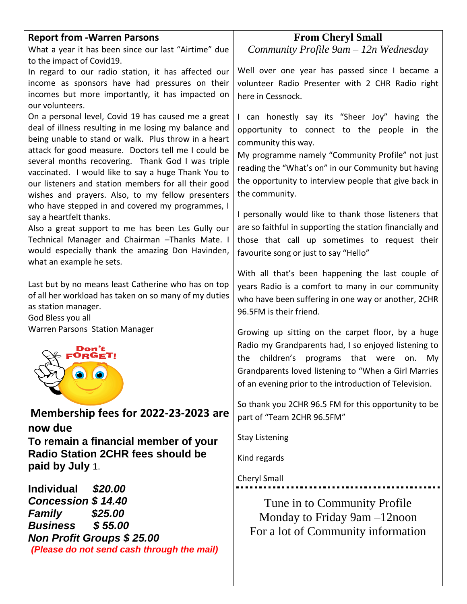#### **Report from -Warren Parsons**

What a year it has been since our last "Airtime" due to the impact of Covid19.

In regard to our radio station, it has affected our income as sponsors have had pressures on their incomes but more importantly, it has impacted on our volunteers.

On a personal level, Covid 19 has caused me a great deal of illness resulting in me losing my balance and being unable to stand or walk. Plus throw in a heart attack for good measure. Doctors tell me I could be several months recovering. Thank God I was triple vaccinated. I would like to say a huge Thank You to our listeners and station members for all their good wishes and prayers. Also, to my fellow presenters who have stepped in and covered my programmes, I say a heartfelt thanks.

Also a great support to me has been Les Gully our Technical Manager and Chairman –Thanks Mate. I would especially thank the amazing Don Havinden, what an example he sets.

Last but by no means least Catherine who has on top of all her workload has taken on so many of my duties as station manager.

God Bless you all Warren Parsons Station Manager



**Membership fees for 2022-23-2023 are now due To remain a financial member of your Radio Station 2CHR fees should be paid by July** 1.

**Individual** *\$20.00 Concession \$ 14.40 Family \$25.00 Business \$ 55.00 Non Profit Groups \$ 25.00 (Please do not send cash through the mail)*

#### **From Cheryl Small**

*Community Profile 9am – 12n Wednesday*

Well over one year has passed since I became a volunteer Radio Presenter with 2 CHR Radio right here in Cessnock.

I can honestly say its "Sheer Joy" having the opportunity to connect to the people in the community this way.

My programme namely "Community Profile" not just reading the "What's on" in our Community but having the opportunity to interview people that give back in the community.

I personally would like to thank those listeners that are so faithful in supporting the station financially and those that call up sometimes to request their favourite song or just to say "Hello"

With all that's been happening the last couple of years Radio is a comfort to many in our community who have been suffering in one way or another, 2CHR 96.5FM is their friend.

Growing up sitting on the carpet floor, by a huge Radio my Grandparents had, I so enjoyed listening to the children's programs that were on. My Grandparents loved listening to "When a Girl Marries of an evening prior to the introduction of Television.

So thank you 2CHR 96.5 FM for this opportunity to be part of "Team 2CHR 96.5FM"

Stay Listening

Kind regards

Cheryl Small

Tune in to Community Profile Monday to Friday 9am –12noon For a lot of Community information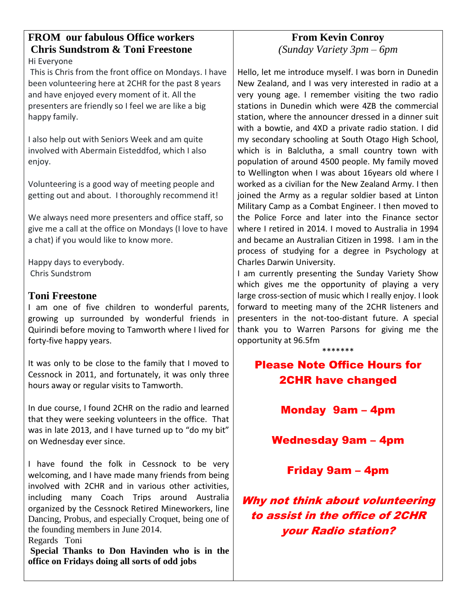# **FROM our fabulous Office workers Chris Sundstrom & Toni Freestone**

Hi Everyone

This is Chris from the front office on Mondays. I have been volunteering here at 2CHR for the past 8 years and have enjoyed every moment of it. All the presenters are friendly so I feel we are like a big happy family.

I also help out with Seniors Week and am quite involved with Abermain Eisteddfod, which I also enjoy.

Volunteering is a good way of meeting people and getting out and about. I thoroughly recommend it!

We always need more presenters and office staff, so give me a call at the office on Mondays (I love to have a chat) if you would like to know more.

Happy days to everybody. Chris Sundstrom

#### **Toni Freestone**

I am one of five children to wonderful parents, growing up surrounded by wonderful friends in Quirindi before moving to Tamworth where I lived for forty-five happy years.

It was only to be close to the family that I moved to Cessnock in 2011, and fortunately, it was only three hours away or regular visits to Tamworth.

In due course, I found 2CHR on the radio and learned that they were seeking volunteers in the office. That was in late 2013, and I have turned up to "do my bit" on Wednesday ever since.

I have found the folk in Cessnock to be very welcoming, and I have made many friends from being involved with 2CHR and in various other activities, including many Coach Trips around Australia organized by the Cessnock Retired Mineworkers, line Dancing, Probus, and especially Croquet, being one of the founding members in June 2014.

Regards Toni

**Special Thanks to Don Havinden who is in the office on Fridays doing all sorts of odd jobs**

# **From Kevin Conroy**

*(Sunday Variety 3pm – 6pm*

Hello, let me introduce myself. I was born in Dunedin New Zealand, and I was very interested in radio at a very young age. I remember visiting the two radio stations in Dunedin which were 4ZB the commercial station, where the announcer dressed in a dinner suit with a bowtie, and 4XD a private radio station. I did my secondary schooling at South Otago High School, which is in Balclutha, a small country town with population of around 4500 people. My family moved to Wellington when I was about 16years old where I worked as a civilian for the New Zealand Army. I then joined the Army as a regular soldier based at Linton Military Camp as a Combat Engineer. I then moved to the Police Force and later into the Finance sector where I retired in 2014. I moved to Australia in 1994 and became an Australian Citizen in 1998. I am in the process of studying for a degree in Psychology at Charles Darwin University.

I am currently presenting the Sunday Variety Show which gives me the opportunity of playing a very large cross-section of music which I really enjoy. I look forward to meeting many of the 2CHR listeners and presenters in the not-too-distant future. A special thank you to Warren Parsons for giving me the opportunity at 96.5fm

\*\*\*\*\*\*\*

## Please Note Office Hours for 2CHR have changed

### Monday 9am – 4pm

Wednesday 9am – 4pm

#### Friday 9am – 4pm

Why not think about volunteering to assist in the office of 2CHR your Radio station?